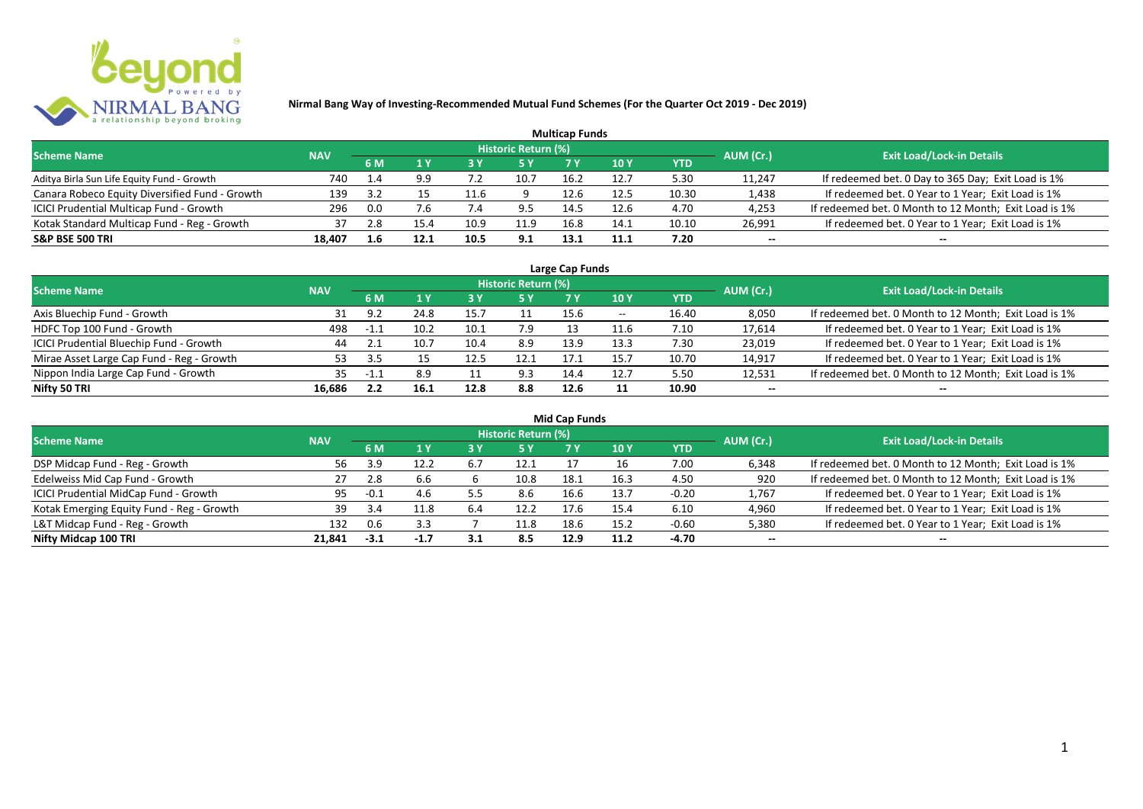

|                                                |            |      |      |      |                     | <b>Multicap Funds</b> |      |       |           |                                                       |
|------------------------------------------------|------------|------|------|------|---------------------|-----------------------|------|-------|-----------|-------------------------------------------------------|
| <b>Scheme Name</b>                             | <b>NAV</b> |      |      |      | Historic Return (%) |                       |      |       | AUM (Cr.) | <b>Exit Load/Lock-in Details</b>                      |
|                                                |            | 6 M  |      |      |                     |                       | 10 Y | YTD   |           |                                                       |
| Aditya Birla Sun Life Equity Fund - Growth     | 740        | 1.4  | 9.9  |      | 10.7                | 16.2                  | 12.7 | 5.30  | 11,247    | If redeemed bet. 0 Day to 365 Day; Exit Load is 1%    |
| Canara Robeco Equity Diversified Fund - Growth | 139        | -3.2 |      | 11.6 |                     | 12.6                  | 12.5 | 10.30 | 1,438     | If redeemed bet. 0 Year to 1 Year; Exit Load is 1%    |
| ICICI Prudential Multicap Fund - Growth        | 296        | 0.0  |      |      |                     | 14.5                  | 12.F | 4.70  | 4,253     | If redeemed bet. 0 Month to 12 Month; Exit Load is 1% |
| Kotak Standard Multicap Fund - Reg - Growth    | 37         | 2.8  | 15.4 | 10.9 | 11.9                | 16.8                  | 14.1 | 10.10 | 26,991    | If redeemed bet. 0 Year to 1 Year; Exit Load is 1%    |
| <b>S&amp;P BSE 500 TRI</b>                     | 18,407     | 1.6  | 12.1 | 10.5 | 9.1                 | 13.1                  | 11.1 | 7.20  | --        | $- -$                                                 |

| Large Cap Funds                           |            |                    |      |      |                            |      |                          |       |           |                                                       |  |  |  |
|-------------------------------------------|------------|--------------------|------|------|----------------------------|------|--------------------------|-------|-----------|-------------------------------------------------------|--|--|--|
| <b>Scheme Name</b>                        | <b>NAV</b> |                    |      |      | <b>Historic Return (%)</b> |      |                          |       | AUM (Cr.) | <b>Exit Load/Lock-in Details</b>                      |  |  |  |
|                                           |            | <b>6M</b>          |      |      | <b>5 Y</b>                 | 7 Y  | 10Y                      | YTD   |           |                                                       |  |  |  |
| Axis Bluechip Fund - Growth               |            | د ۹                | 24.8 |      |                            | 15.6 | $\overline{\phantom{a}}$ | 16.40 | 8,050     | If redeemed bet. 0 Month to 12 Month; Exit Load is 1% |  |  |  |
| HDFC Top 100 Fund - Growth                | 498        | $-1.1$             | 10.2 | 10.1 | 7.9                        |      | 11.6                     | 7.10  | 17,614    | If redeemed bet. 0 Year to 1 Year; Exit Load is 1%    |  |  |  |
| ICICI Prudential Bluechip Fund - Growth   | 44         | 2.1                | 10.7 | 10.4 | 8.9                        | 13.9 | 13.3                     | 7.30  | 23,019    | If redeemed bet. 0 Year to 1 Year; Exit Load is 1%    |  |  |  |
| Mirae Asset Large Cap Fund - Reg - Growth | 53         |                    |      | 12.5 | 12.1                       | 17.1 | 15.7                     | 10.70 | 14,917    | If redeemed bet. 0 Year to 1 Year; Exit Load is 1%    |  |  |  |
| Nippon India Large Cap Fund - Growth      | 35         | $-11$ <sup>1</sup> | 8.9  |      | 9.3                        | 14.4 | 12.7                     | 5.50  | 12,531    | If redeemed bet. 0 Month to 12 Month; Exit Load is 1% |  |  |  |
| Nifty 50 TRI                              | 16.686     |                    | 16.1 | 12.8 | 8.8                        | 12.6 |                          | 10.90 | $- -$     | $- -$                                                 |  |  |  |

| <b>Mid Cap Funds</b>                      |            |        |        |     |                            |      |      |            |           |                                                       |  |  |  |  |
|-------------------------------------------|------------|--------|--------|-----|----------------------------|------|------|------------|-----------|-------------------------------------------------------|--|--|--|--|
| <b>Scheme Name</b>                        | <b>NAV</b> |        |        |     | <b>Historic Return (%)</b> |      |      |            | AUM (Cr.) | <b>Exit Load/Lock-in Details</b>                      |  |  |  |  |
|                                           |            | 6 M    | 1 Y    |     | <b>5 Y</b>                 |      | 10 Y | <b>YTD</b> |           |                                                       |  |  |  |  |
| DSP Midcap Fund - Reg - Growth            | 56         | 3.9    | 12.2   | 6.7 | 12.1                       |      |      | 7.00       | 6,348     | If redeemed bet. 0 Month to 12 Month; Exit Load is 1% |  |  |  |  |
| Edelweiss Mid Cap Fund - Growth           | 27         |        | 6.6    |     | 10.8                       | 18.1 | 16.3 | 4.50       | 920       | If redeemed bet. 0 Month to 12 Month; Exit Load is 1% |  |  |  |  |
| ICICI Prudential MidCap Fund - Growth     | 95         | $-0.1$ | 4.6    | 5.5 | 8.6                        | 16.6 | 13.7 | $-0.20$    | 1,767     | If redeemed bet. 0 Year to 1 Year; Exit Load is 1%    |  |  |  |  |
| Kotak Emerging Equity Fund - Reg - Growth | 39         | 3.4    |        | 6.4 | 12.2                       | 17.6 | 15.4 | 6.10       | 4,960     | If redeemed bet. 0 Year to 1 Year; Exit Load is 1%    |  |  |  |  |
| L&T Midcap Fund - Reg - Growth            | 132        |        | 3.3    |     | 11.8                       | 18.6 | 15.2 | $-0.60$    | 5,380     | If redeemed bet. 0 Year to 1 Year; Exit Load is 1%    |  |  |  |  |
| Nifty Midcap 100 TRI                      | 21.841     | $-3.1$ | $-1.7$ | 3.1 | 8.5                        | 12.9 | 11.2 | -4.70      | $- -$     | $- -$                                                 |  |  |  |  |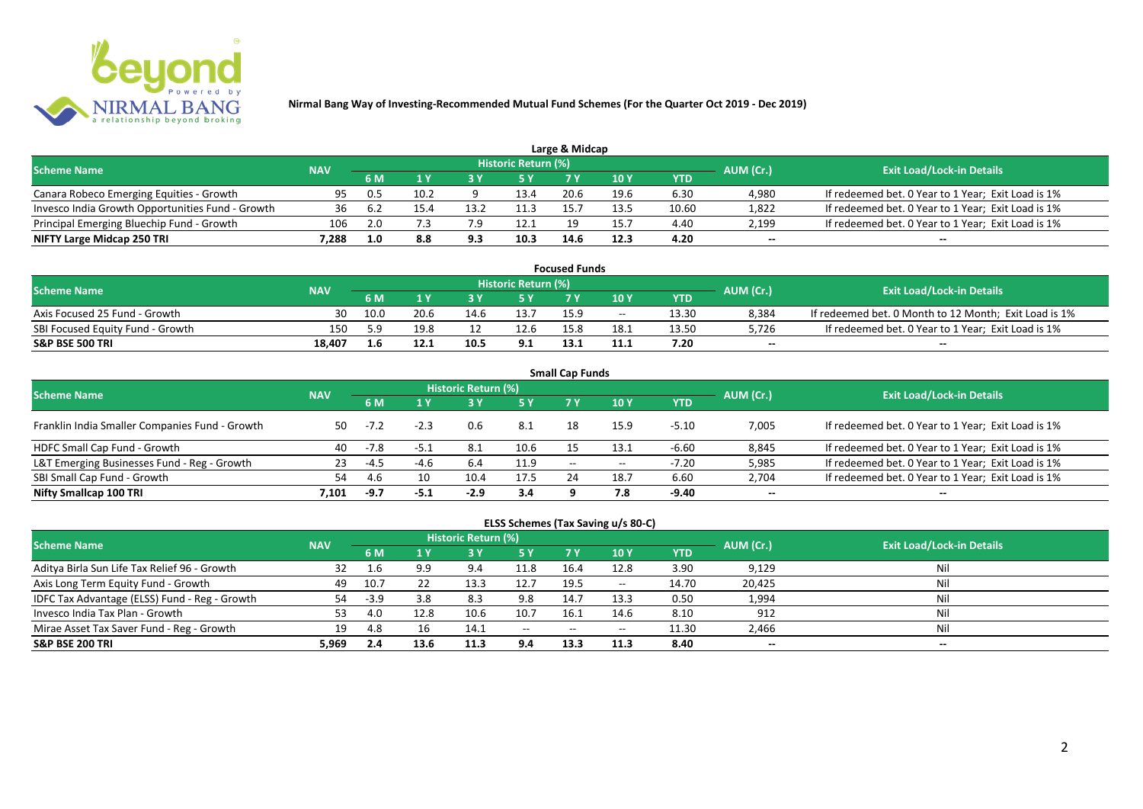

|                                                  |            |     |      |      |                            | Large & Midcap |      |       |           |                                                    |
|--------------------------------------------------|------------|-----|------|------|----------------------------|----------------|------|-------|-----------|----------------------------------------------------|
| <b>Scheme Name</b>                               | <b>NAV</b> |     |      |      | <b>Historic Return (%)</b> |                |      |       | AUM (Cr.) | <b>Exit Load/Lock-in Details</b>                   |
|                                                  |            | 6 M |      |      | 5 Y                        |                |      | YTD   |           |                                                    |
| Canara Robeco Emerging Equities - Growth         | 95         | 0.5 | 10.2 |      | 13.4                       | 20.6           | 19.6 | 6.30  | 4,980     | If redeemed bet. 0 Year to 1 Year; Exit Load is 1% |
| Invesco India Growth Opportunities Fund - Growth | 36         | b.2 | 15.4 | 13.2 | 11.3                       |                | 13.5 | 10.60 | 1,822     | If redeemed bet. 0 Year to 1 Year; Exit Load is 1% |
| Principal Emerging Bluechip Fund - Growth        | 106        | 2.0 |      |      | 12.1                       | 10             | 15.7 | 4.40  | 2,199     | If redeemed bet. 0 Year to 1 Year; Exit Load is 1% |
| NIFTY Large Midcap 250 TRI                       | 7.288      | 1.0 | 8.8  | 9.3  | 10.3                       | 14.6           | 12.3 | 4.20  | $- -$     | $- -$                                              |

| <b>Focused Funds</b>             |            |      |      |      |                            |      |       |       |           |                                                       |  |  |  |
|----------------------------------|------------|------|------|------|----------------------------|------|-------|-------|-----------|-------------------------------------------------------|--|--|--|
| <b>Scheme Name</b>               | <b>NAV</b> |      |      |      | <b>Historic Return (%)</b> |      |       |       | AUM (Cr.) | <b>Exit Load/Lock-in Details</b>                      |  |  |  |
|                                  |            | 6 M  |      |      | 5 Y                        |      | 10 Y  | YTD   |           |                                                       |  |  |  |
| Axis Focused 25 Fund - Growth    | 30         | 10.0 | 20.6 | 14.6 | 13.7                       | 15.9 | $- -$ | 13.30 | 8,384     | If redeemed bet. 0 Month to 12 Month; Exit Load is 1% |  |  |  |
| SBI Focused Equity Fund - Growth | 150        | 59   | 19.8 |      | 12.6                       |      | 18. . | 13.50 | 5,726     | If redeemed bet. 0 Year to 1 Year; Exit Load is 1%    |  |  |  |
| <b>S&amp;P BSE 500 TRI</b>       | 18.407     | 1.b  |      | 10.5 | 9.1                        | 13.1 | 11.1  | 7.20  | $-$       | $-$                                                   |  |  |  |

| <b>Small Cap Funds</b>                         |            |        |        |                     |      |                          |       |            |           |                                                    |  |  |  |
|------------------------------------------------|------------|--------|--------|---------------------|------|--------------------------|-------|------------|-----------|----------------------------------------------------|--|--|--|
| <b>Scheme Name</b>                             | <b>NAV</b> |        |        | Historic Return (%) |      |                          |       |            | AUM (Cr.) | <b>Exit Load/Lock-in Details</b>                   |  |  |  |
|                                                |            |        |        |                     | 5 Y  | 7 Y                      | 10Y   | <b>YTD</b> |           |                                                    |  |  |  |
| Franklin India Smaller Companies Fund - Growth | 50         | $-7.2$ | $-2.3$ | 0.6                 | 8.1  | 18                       | 15.9  | $-5.10$    | 7,005     | If redeemed bet. 0 Year to 1 Year; Exit Load is 1% |  |  |  |
| HDFC Small Cap Fund - Growth                   | 40         | $-7.8$ | -5.1   | 8.1                 | 10.6 |                          | 13.1  | $-6.60$    | 8,845     | If redeemed bet. 0 Year to 1 Year; Exit Load is 1% |  |  |  |
| L&T Emerging Businesses Fund - Reg - Growth    | 23         | -4.5   | -4.6   | 6.4                 | 11.9 | $\overline{\phantom{a}}$ | $- -$ | $-7.20$    | 5,985     | If redeemed bet. 0 Year to 1 Year; Exit Load is 1% |  |  |  |
| SBI Small Cap Fund - Growth                    | 54         | 4.b    | 10     | 10.4                | 17.5 |                          | 18.7  | 6.60       | 2,704     | If redeemed bet. 0 Year to 1 Year; Exit Load is 1% |  |  |  |
| Nifty Smallcap 100 TRI                         | 7.101      | -9.7   | -5.1   | $-2.9$              | 3.4  |                          | 7.8   | -9.40      | $- -$     | --                                                 |  |  |  |

## **ELSS Schemes (Tax Saving u/s 80-C)**

| <b>Scheme Name</b>                            | <b>NAV</b> |      |      | <b>Historic Return (%)</b> |           |       |                          |       | AUM (Cr.) | <b>Exit Load/Lock-in Details</b> |
|-----------------------------------------------|------------|------|------|----------------------------|-----------|-------|--------------------------|-------|-----------|----------------------------------|
|                                               |            | 6 M  |      |                            | <b>5Y</b> | 7 Y   | <b>10Y</b>               | YTD   |           |                                  |
| Aditya Birla Sun Life Tax Relief 96 - Growth  | 32         |      | 9.9  | 9.4                        | 11.8      | 16.4  | 12.8                     | 3.90  | 9,129     | Nil                              |
| Axis Long Term Equity Fund - Growth           | 49         | 10.7 |      | 13.3                       | 12.7      | 19.5  | $\overline{\phantom{a}}$ | 14.70 | 20,425    | Nil                              |
| IDFC Tax Advantage (ELSS) Fund - Reg - Growth | 54         | -3.9 | 3.8  | 8.3                        | 9.8       | 14.7  | 13.3                     | 0.50  | 1,994     | Nil                              |
| Invesco India Tax Plan - Growth               | 53         | 4.0  | 12.8 | 10.6                       | 10.7      | 16.1  | 14.6                     | 8.10  | 912       | Nil                              |
| Mirae Asset Tax Saver Fund - Reg - Growth     | 19         | 4.8  | 16   | 14.1                       | $  \,$    | $- -$ | $- -$                    | 11.30 | 2,466     | Nil                              |
| <b>S&amp;P BSE 200 TRI</b>                    | 5.969      | 2.4  | 13.6 | 11.3                       | 9.4       | 13.3  | 11.3                     | 8.40  | $- -$     | $- -$                            |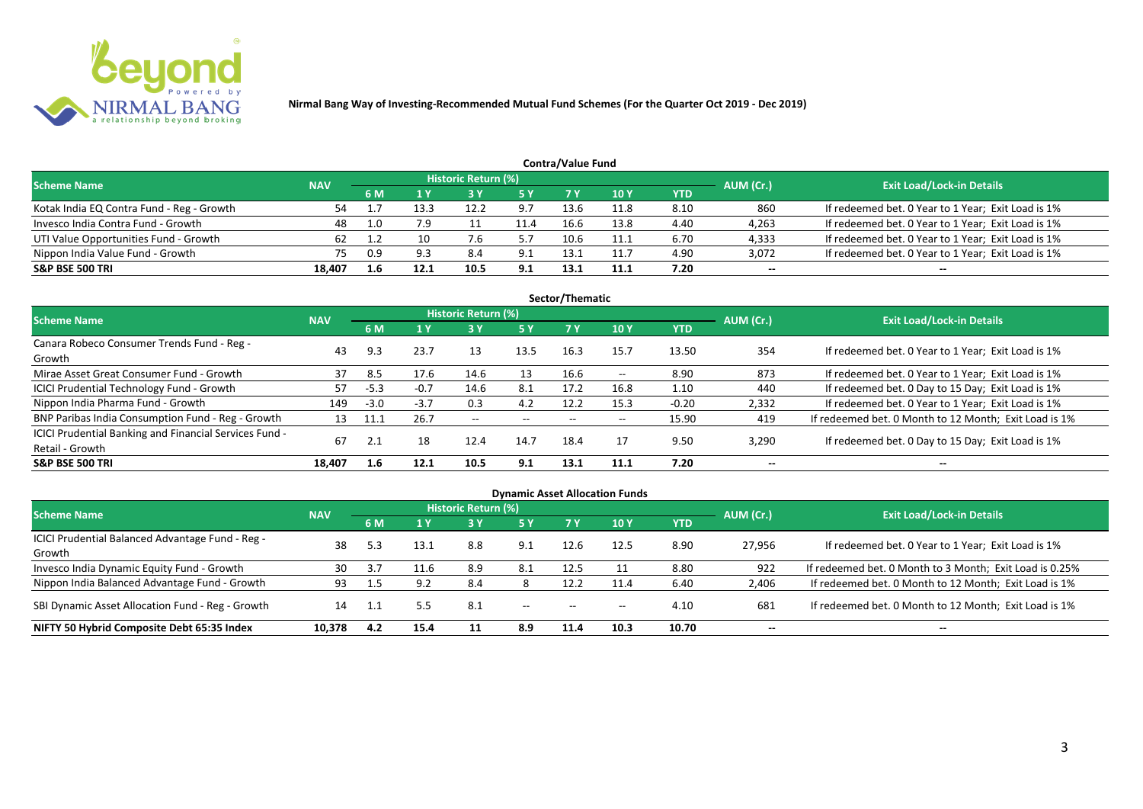

|                                           | <b>Contra/Value Fund</b> |     |      |                            |           |      |            |      |           |                                                    |  |  |  |  |  |
|-------------------------------------------|--------------------------|-----|------|----------------------------|-----------|------|------------|------|-----------|----------------------------------------------------|--|--|--|--|--|
| <b>Scheme Name</b>                        | <b>NAV</b>               |     |      | <b>Historic Return (%)</b> |           |      |            |      | AUM (Cr.) | <b>Exit Load/Lock-in Details</b>                   |  |  |  |  |  |
|                                           |                          | 6 M |      |                            | <b>5Y</b> |      | <b>10Y</b> | YTD  |           |                                                    |  |  |  |  |  |
| Kotak India EQ Contra Fund - Reg - Growth | 54                       |     | 13.3 | 12.2                       | 9.7       | 13.6 | 11.8       | 8.10 | 860       | If redeemed bet. 0 Year to 1 Year; Exit Load is 1% |  |  |  |  |  |
| Invesco India Contra Fund - Growth        | 48                       | 1.0 | 7.9  |                            | 11.4      | 16.6 | 13.8       | 4.40 | 4,263     | If redeemed bet. 0 Year to 1 Year; Exit Load is 1% |  |  |  |  |  |
| UTI Value Opportunities Fund - Growth     | 62                       |     |      |                            |           | 10.6 | 11.1       | 6.70 | 4,333     | If redeemed bet. 0 Year to 1 Year; Exit Load is 1% |  |  |  |  |  |
| Nippon India Value Fund - Growth          | 75                       | 0.9 | 9.3  | 8.4                        | 9.1       | 13.1 | 11.7       | 4.90 | 3,072     | If redeemed bet. 0 Year to 1 Year; Exit Load is 1% |  |  |  |  |  |
| <b>S&amp;P BSE 500 TRI</b>                | 18.407                   | 1.6 | 12.1 | 10.5                       | 9.1       | 13.1 | 11.1       | 7.20 | $- -$     | $-$                                                |  |  |  |  |  |

| Sector/Thematic                                                           |            |        |        |                          |            |                          |                          |            |           |                                                       |  |  |  |  |
|---------------------------------------------------------------------------|------------|--------|--------|--------------------------|------------|--------------------------|--------------------------|------------|-----------|-------------------------------------------------------|--|--|--|--|
| <b>Scheme Name</b>                                                        | <b>NAV</b> |        |        | Historic Return (%)      |            |                          |                          |            | AUM (Cr.) | <b>Exit Load/Lock-in Details</b>                      |  |  |  |  |
|                                                                           |            | 6 M    | 1 Y    | <b>3Y</b>                | <b>5 Y</b> | 7 Y                      | <b>10Y</b>               | <b>YTD</b> |           |                                                       |  |  |  |  |
| Canara Robeco Consumer Trends Fund - Reg -<br>Growth                      | 43         | 9.3    | 23.7   | 13                       | 13.5       | 16.3                     | 15.7                     | 13.50      | 354       | If redeemed bet. 0 Year to 1 Year; Exit Load is 1%    |  |  |  |  |
| Mirae Asset Great Consumer Fund - Growth                                  | 37         | 8.5    | 17.6   | 14.6                     | 13         | 16.6                     | $- -$                    | 8.90       | 873       | If redeemed bet. 0 Year to 1 Year; Exit Load is 1%    |  |  |  |  |
| <b>ICICI Prudential Technology Fund - Growth</b>                          | 57         | $-5.3$ | $-0.7$ | 14.6                     | 8.1        | 17.2                     | 16.8                     | 1.10       | 440       | If redeemed bet. 0 Day to 15 Day; Exit Load is 1%     |  |  |  |  |
| Nippon India Pharma Fund - Growth                                         | 149        | $-3.0$ | $-3.7$ | 0.3                      | 4.2        | 12.2                     | 15.3                     | $-0.20$    | 2,332     | If redeemed bet. 0 Year to 1 Year; Exit Load is 1%    |  |  |  |  |
| BNP Paribas India Consumption Fund - Reg - Growth                         | 13         | 11.1   | 26.7   | $\overline{\phantom{a}}$ | $- -$      | $\overline{\phantom{a}}$ | $\overline{\phantom{a}}$ | 15.90      | 419       | If redeemed bet. 0 Month to 12 Month; Exit Load is 1% |  |  |  |  |
| ICICI Prudential Banking and Financial Services Fund -<br>Retail - Growth | 67         | 2.1    | 18     | 12.4                     | 14.7       | 18.4                     | 17                       | 9.50       | 3,290     | If redeemed bet. 0 Day to 15 Day; Exit Load is 1%     |  |  |  |  |
| <b>S&amp;P BSE 500 TRI</b>                                                | 18.407     | 1.6    | 12.1   | 10.5                     | 9.1        | 13.1                     | 11.1                     | 7.20       | --        | $\overline{\phantom{a}}$                              |  |  |  |  |

|                                                            |            |           |      |                            |        |                          | <b>Dynamic Asset Allocation Funds</b> |            |           |                                                         |
|------------------------------------------------------------|------------|-----------|------|----------------------------|--------|--------------------------|---------------------------------------|------------|-----------|---------------------------------------------------------|
| Scheme Name                                                | <b>NAV</b> |           |      | <b>Historic Return (%)</b> |        |                          |                                       |            | AUM (Cr.) | <b>Exit Load/Lock-in Details</b>                        |
|                                                            |            | <b>6M</b> | 1 Y  | 3 Y                        | 5 Y    | <b>7Y</b>                | <b>10Y</b>                            | <b>YTD</b> |           |                                                         |
| ICICI Prudential Balanced Advantage Fund - Reg -<br>Growth | 38         |           | 13.1 | 8.8                        | 9.1    | 12.6                     | 12.5                                  | 8.90       | 27,956    | If redeemed bet. 0 Year to 1 Year; Exit Load is 1%      |
| Invesco India Dynamic Equity Fund - Growth                 | 30         |           | 11.6 | 8.9                        | 8.1    | 12.5                     |                                       | 8.80       | 922       | If redeemed bet. 0 Month to 3 Month; Exit Load is 0.25% |
| Nippon India Balanced Advantage Fund - Growth              | 93         |           | 9.2  | 8.4                        |        | 12.2                     | 11.4                                  | 6.40       | 2,406     | If redeemed bet. 0 Month to 12 Month; Exit Load is 1%   |
| SBI Dynamic Asset Allocation Fund - Reg - Growth           | 14         |           | 5.5  | 8.1                        | $\sim$ | $\overline{\phantom{a}}$ | $\overline{\phantom{a}}$              | 4.10       | 681       | If redeemed bet. 0 Month to 12 Month; Exit Load is 1%   |
| NIFTY 50 Hybrid Composite Debt 65:35 Index                 | 10,378     | 4.2       | 15.4 |                            | 8.9    | 11.4                     | 10.3                                  | 10.70      | $- -$     | $- -$                                                   |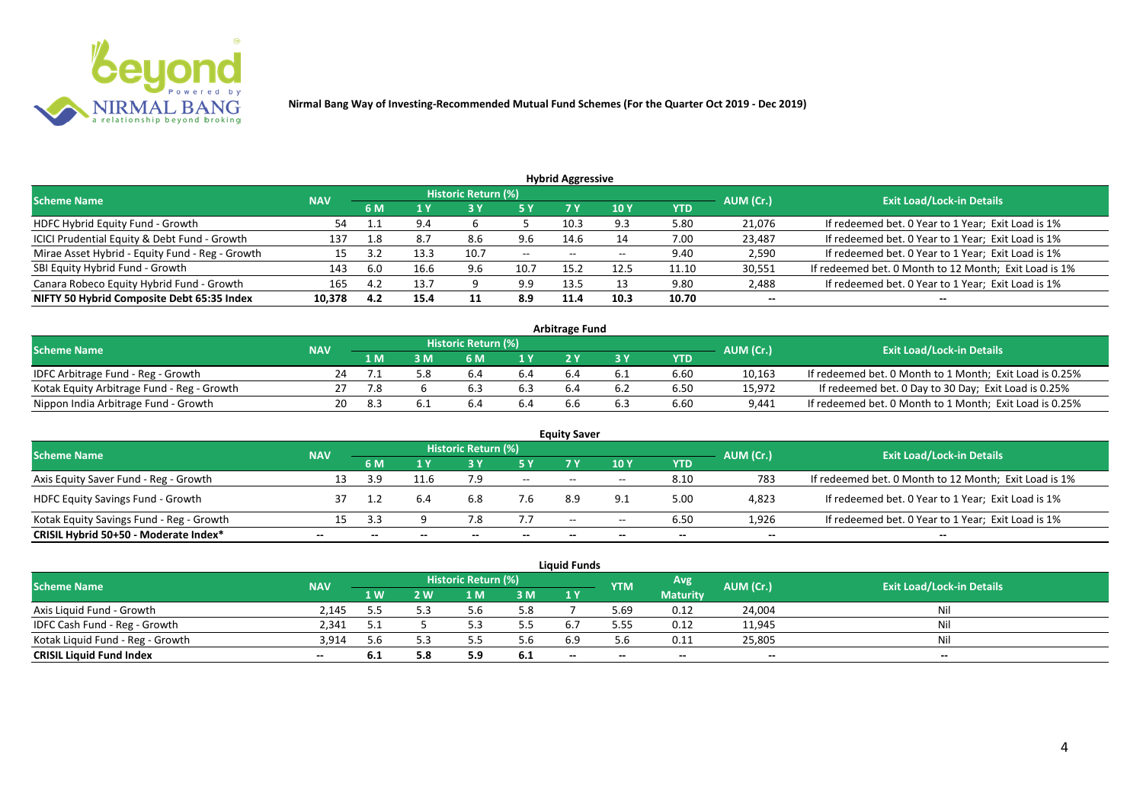

| <b>Hybrid Aggressive</b>                        |            |     |      |                            |                   |                                       |       |       |           |                                                       |  |  |  |  |
|-------------------------------------------------|------------|-----|------|----------------------------|-------------------|---------------------------------------|-------|-------|-----------|-------------------------------------------------------|--|--|--|--|
| <b>Scheme Name</b>                              | <b>NAV</b> |     |      | <b>Historic Return (%)</b> |                   |                                       |       |       | AUM (Cr.) | <b>Exit Load/Lock-in Details</b>                      |  |  |  |  |
|                                                 |            | 6 M | 1 Y  |                            | <b>5Y</b>         |                                       | 10Y   | YTD   |           |                                                       |  |  |  |  |
| HDFC Hybrid Equity Fund - Growth                | 54         |     | 9.4  |                            |                   | 10.3                                  | 9.3   | 5.80  | 21,076    | If redeemed bet. 0 Year to 1 Year; Exit Load is 1%    |  |  |  |  |
| ICICI Prudential Equity & Debt Fund - Growth    | 137        | 1.8 | 8.7  | 8.6                        | 9.6               | 14.6                                  |       | 7.00  | 23,487    | If redeemed bet. 0 Year to 1 Year; Exit Load is 1%    |  |  |  |  |
| Mirae Asset Hybrid - Equity Fund - Reg - Growth | 15         |     | 13.3 | 10.7                       | $\hspace{0.05cm}$ | $\hspace{0.05cm}$ – $\hspace{0.05cm}$ | $- -$ | 9.40  | 2,590     | If redeemed bet. 0 Year to 1 Year; Exit Load is 1%    |  |  |  |  |
| SBI Equity Hybrid Fund - Growth                 | 143        | 6.0 | 16.6 | 9.6                        | 10.7              | 15.2                                  | 12.5  | 11.10 | 30,551    | If redeemed bet. 0 Month to 12 Month; Exit Load is 1% |  |  |  |  |
| Canara Robeco Equity Hybrid Fund - Growth       | 165        | 4.2 | 13.7 |                            | 9.9               | 13.5                                  |       | 9.80  | 2,488     | If redeemed bet. 0 Year to 1 Year; Exit Load is 1%    |  |  |  |  |
| NIFTY 50 Hybrid Composite Debt 65:35 Index      | 10,378     | 4.2 | 15.4 | 11                         | 8.9               | 11.4                                  | 10.3  | 10.70 | $- -$     | $- -$                                                 |  |  |  |  |

| <b>Arbitrage Fund</b>                      |            |            |  |                            |       |     |  |            |           |                                                         |  |  |  |
|--------------------------------------------|------------|------------|--|----------------------------|-------|-----|--|------------|-----------|---------------------------------------------------------|--|--|--|
| <b>Scheme Name</b>                         | <b>NAV</b> |            |  | <b>Historic Return (%)</b> |       |     |  |            | AUM (Cr.) | <b>Exit Load/Lock-in Details</b>                        |  |  |  |
|                                            |            | 1 M        |  | 6 M                        | 1 Y   |     |  | <b>YTD</b> |           |                                                         |  |  |  |
| IDFC Arbitrage Fund - Reg - Growth         |            |            |  | b.4                        | 5.4   |     |  | 6.60       | 10,163    | If redeemed bet. 0 Month to 1 Month; Exit Load is 0.25% |  |  |  |
| Kotak Equity Arbitrage Fund - Reg - Growth |            |            |  |                            |       | b.4 |  | 6.50       | 15,972    | If redeemed bet. 0 Day to 30 Day; Exit Load is 0.25%    |  |  |  |
| Nippon India Arbitrage Fund - Growth       |            | <b>R</b> 3 |  |                            | - 5.4 | 6.b |  | 6.60       | 9,441     | If redeemed bet. 0 Month to 1 Month; Exit Load is 0.25% |  |  |  |

| <b>Equity Saver</b>                      |            |      |      |                     |       |                          |       |            |           |                                                       |  |  |  |
|------------------------------------------|------------|------|------|---------------------|-------|--------------------------|-------|------------|-----------|-------------------------------------------------------|--|--|--|
| <b>Scheme Name</b>                       | <b>NAV</b> |      |      | Historic Return (%) |       |                          |       |            | AUM (Cr.) | <b>Exit Load/Lock-in Details</b>                      |  |  |  |
|                                          |            | 6 M  |      |                     |       | 7 V                      | 10Y   | <b>YTD</b> |           |                                                       |  |  |  |
| Axis Equity Saver Fund - Reg - Growth    |            | 3.9  | 11.6 | 7.9                 | $- -$ | $- -$                    | $- -$ | 8.10       | 783       | If redeemed bet. 0 Month to 12 Month; Exit Load is 1% |  |  |  |
| <b>HDFC Equity Savings Fund - Growth</b> |            |      |      | 6.8                 | 7.6   | 8.9                      |       | 5.00       | 4,823     | If redeemed bet. 0 Year to 1 Year; Exit Load is 1%    |  |  |  |
| Kotak Equity Savings Fund - Reg - Growth |            | - 34 |      | 7.8                 | 7.7   | $\overline{\phantom{a}}$ | $- -$ | 6.50       | 1,926     | If redeemed bet. 0 Year to 1 Year; Exit Load is 1%    |  |  |  |
| CRISIL Hybrid 50+50 - Moderate Index*    |            |      |      | $- -$               | $- -$ |                          | $- -$ | --         | $- -$     | --                                                    |  |  |  |

| <b>Liquid Funds</b>              |            |      |     |                            |     |     |            |                 |           |                                  |  |  |
|----------------------------------|------------|------|-----|----------------------------|-----|-----|------------|-----------------|-----------|----------------------------------|--|--|
| <b>Scheme Name</b>               | <b>NAV</b> |      |     | <b>Historic Return (%)</b> |     |     | <b>YTM</b> | Avg             | AUM (Cr.) | <b>Exit Load/Lock-in Details</b> |  |  |
|                                  |            | 1 W/ | 2 W | 1 M                        | 3M  | 1 Y |            | <b>Maturity</b> |           |                                  |  |  |
| Axis Liquid Fund - Growth        | 2.145      |      |     |                            | 5.8 |     | 5.69       | 0.12            | 24,004    | Nil                              |  |  |
| IDFC Cash Fund - Reg - Growth    | 2.341      |      |     |                            | 5.5 |     | 5.55       | 0.12            | 11,945    | Nil                              |  |  |
| Kotak Liquid Fund - Reg - Growth | 3.914      |      |     |                            | 5.6 | 6.9 | 5.6        | 0.11            | 25,805    | Nil                              |  |  |
| <b>CRISIL Liquid Fund Index</b>  | $- -$      | v.ı  | 5.8 | כ.כ                        | 6.1 | $-$ | --         | $- -$           | $- -$     | $- -$                            |  |  |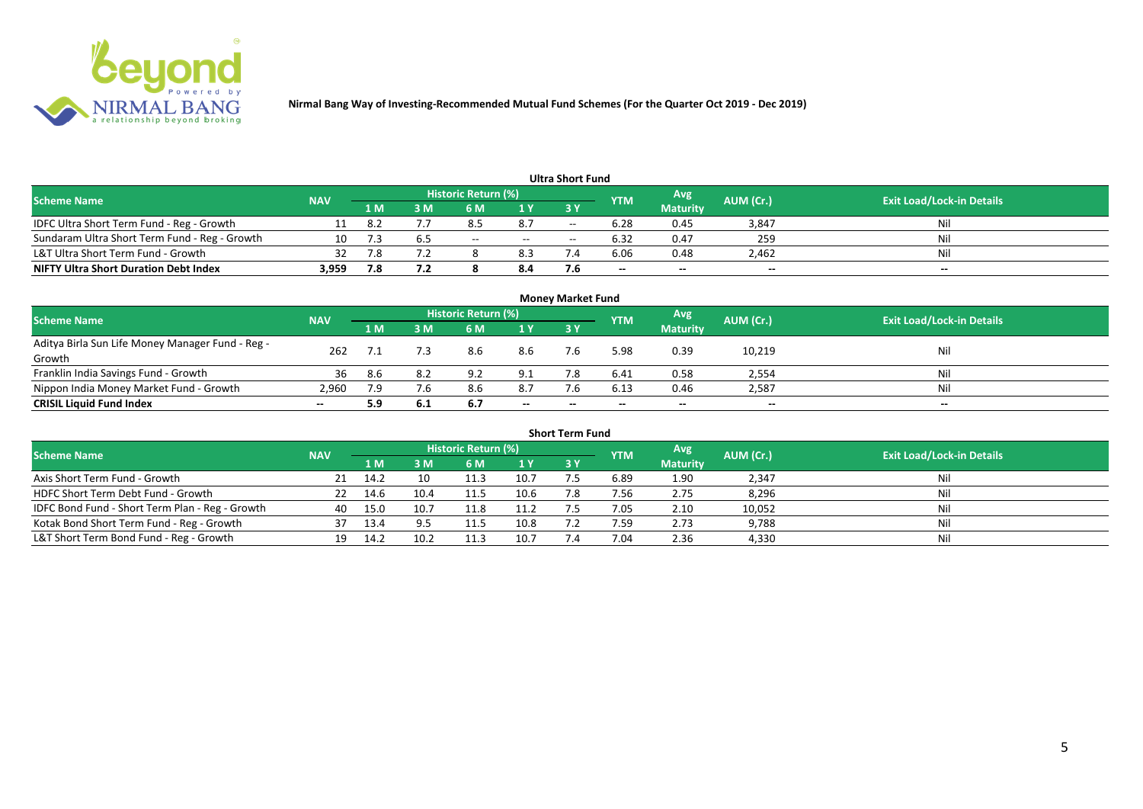

| <b>Ultra Short Fund</b>                       |            |     |     |                     |     |                          |            |                 |           |                                  |  |  |  |
|-----------------------------------------------|------------|-----|-----|---------------------|-----|--------------------------|------------|-----------------|-----------|----------------------------------|--|--|--|
| <b>Scheme Name</b>                            | <b>NAV</b> |     |     | Historic Return (%) |     |                          | <b>YTM</b> | Avg             | AUM (Cr.) | <b>Exit Load/Lock-in Details</b> |  |  |  |
|                                               |            | 1 M | ۱M  | 6 M                 | 1 Y | 3 Y                      |            | <b>Maturity</b> |           |                                  |  |  |  |
| IDFC Ultra Short Term Fund - Reg - Growth     |            | 8.2 |     | 8.5                 | 8.7 | $\overline{\phantom{a}}$ | 6.28       | 0.45            | 3,847     | Nil                              |  |  |  |
| Sundaram Ultra Short Term Fund - Reg - Growth | 10         |     | ხ.5 | $- -$               | $-$ | $\overline{\phantom{a}}$ | 6.32       | 0.47            | 259       | Nil                              |  |  |  |
| L&T Ultra Short Term Fund - Growth            | 32         | 7.8 | 7.2 |                     | 8.3 |                          | 6.06       | 0.48            | 2,462     | Nil                              |  |  |  |
| <b>NIFTY Ultra Short Duration Debt Index</b>  | 3,959      | 7.8 | 7.2 |                     | 8.4 |                          | $- -$      | $- -$           | $- -$     | $- -$                            |  |  |  |

| <b>Money Market Fund</b>                                   |            |                                                  |      |     |       |       |       |                 |                                  |       |  |  |  |
|------------------------------------------------------------|------------|--------------------------------------------------|------|-----|-------|-------|-------|-----------------|----------------------------------|-------|--|--|--|
| <b>Scheme Name</b>                                         | <b>NAV</b> | <b>Historic Return (%)</b><br>Avg'<br><b>YTM</b> |      |     |       |       |       | AUM (Cr.)       | <b>Exit Load/Lock-in Details</b> |       |  |  |  |
|                                                            |            | 1 <sub>M</sub>                                   | MК   | 6 M | 1Y    | -3 Y  |       | <b>Maturity</b> |                                  |       |  |  |  |
| Aditya Birla Sun Life Money Manager Fund - Reg -<br>Growth | 262        |                                                  |      | 8.6 | 8.6   |       | 5.98  | 0.39            | 10,219                           | Nil   |  |  |  |
| Franklin India Savings Fund - Growth                       | 36         | 8.6                                              | 8.2  | 9.2 | 9.1   |       | 6.41  | 0.58            | 2,554                            | Nil   |  |  |  |
| Nippon India Money Market Fund - Growth                    | 2,960      | 7.9                                              | 7.6  |     | 8.7   |       | 6.13  | 0.46            | 2,587                            | Nil   |  |  |  |
| <b>CRISIL Liquid Fund Index</b>                            | $- -$      | 5.9                                              | -6.1 | 6.7 | $- -$ | $- -$ | $- -$ | $- -$           | $- -$                            | $- -$ |  |  |  |

| <b>Short Term Fund</b>                          |            |      |      |                     |      |           |            |                 |           |                                  |  |  |  |
|-------------------------------------------------|------------|------|------|---------------------|------|-----------|------------|-----------------|-----------|----------------------------------|--|--|--|
| <b>Scheme Name</b>                              | <b>NAV</b> |      |      | Historic Return (%) |      |           | <b>YTM</b> | Avg             | AUM (Cr.) | <b>Exit Load/Lock-in Details</b> |  |  |  |
|                                                 |            | 1 M  | 3 M  | 6 M                 | 1Y   | <b>3Y</b> |            | <b>Maturity</b> |           |                                  |  |  |  |
| Axis Short Term Fund - Growth                   |            | 14.2 |      | 11.3                | 10.7 |           | 6.89       | 1.90            | 2,347     | Nil                              |  |  |  |
| HDFC Short Term Debt Fund - Growth              | 22         | 14.6 | 10.4 | 11.5                | 10.6 | 7.8       | 7.56       | 2.75            | 8,296     | Nil                              |  |  |  |
| IDFC Bond Fund - Short Term Plan - Reg - Growth | 40         | 15.0 | 10.7 | 11.8                | 11.2 |           | 7.05       | 2.10            | 10,052    | Nil                              |  |  |  |
| Kotak Bond Short Term Fund - Reg - Growth       |            | 13.4 |      |                     | 10.8 |           | 7.59       | 2.73            | 9,788     | Nil                              |  |  |  |
| L&T Short Term Bond Fund - Reg - Growth         | 19         | 14.2 | 10.2 | 11.3                | 10.7 |           | 7.04       | 2.36            | 4,330     | Nil                              |  |  |  |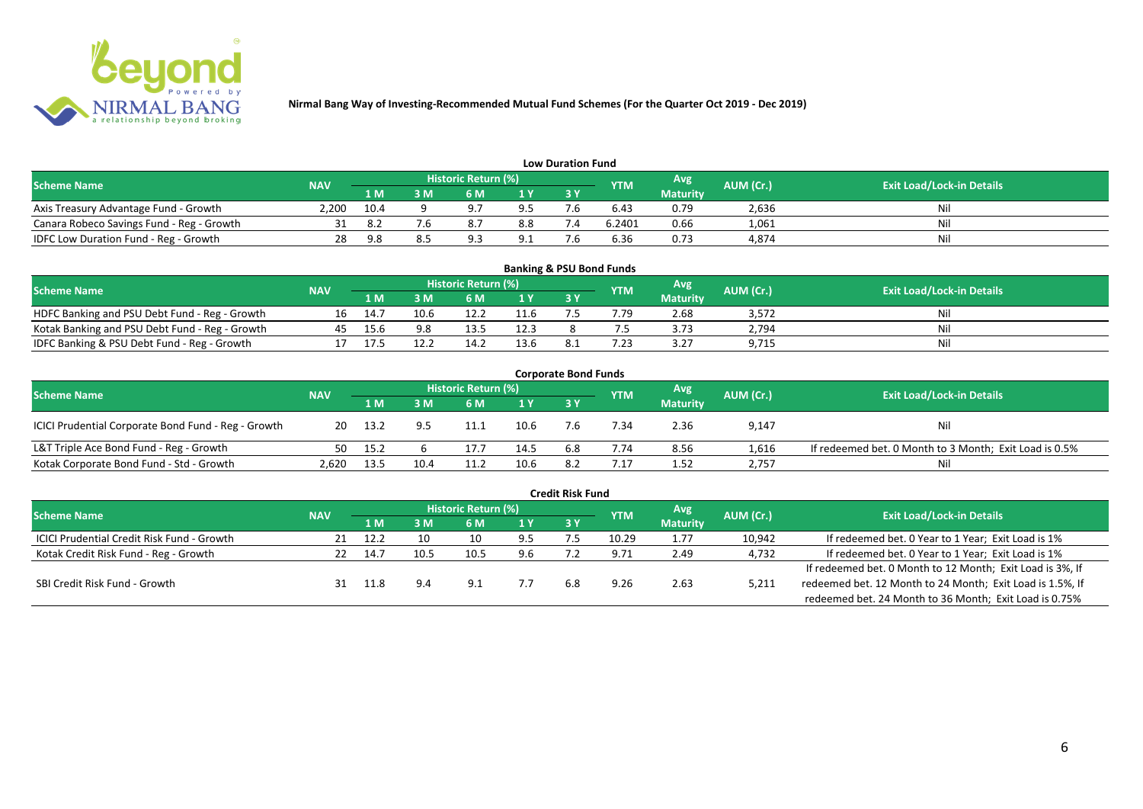

| <b>Low Duration Fund</b>                     |            |      |    |                            |                |    |            |                 |           |                                  |  |  |  |
|----------------------------------------------|------------|------|----|----------------------------|----------------|----|------------|-----------------|-----------|----------------------------------|--|--|--|
| <b>Scheme Name</b>                           | <b>NAV</b> |      |    | <b>Historic Return (%)</b> |                |    | <b>YTM</b> | Avg             | AUM (Cr.) | <b>Exit Load/Lock-in Details</b> |  |  |  |
|                                              |            | 1 M  | ΒM |                            | 1 <sub>Y</sub> | 3Y |            | <b>Maturity</b> |           |                                  |  |  |  |
| Axis Treasury Advantage Fund - Growth        | 2.200      | 10.4 |    |                            | 9.5            |    | 6.43       | 0.79            | 2,636     | Nil                              |  |  |  |
| Canara Robeco Savings Fund - Reg - Growth    |            |      |    |                            | 8.8            |    | 6.2401     | 0.66            | 1,061     | Nil                              |  |  |  |
| <b>IDFC Low Duration Fund - Reg - Growth</b> |            | 9.8  |    |                            | 9.1            |    | 6.36       | 0.73            | 4,874     | Nil                              |  |  |  |

| <b>Banking &amp; PSU Bond Funds</b>            |            |      |      |                            |      |      |            |                 |           |                                  |  |  |  |
|------------------------------------------------|------------|------|------|----------------------------|------|------|------------|-----------------|-----------|----------------------------------|--|--|--|
| <b>Scheme Name</b>                             | <b>NAV</b> |      |      | <b>Historic Return (%)</b> |      |      | <b>YTM</b> | Avg             | AUM (Cr.) | <b>Exit Load/Lock-in Details</b> |  |  |  |
|                                                |            | 1 M  |      | 6 M                        |      | 73 Y |            | <b>Maturity</b> |           |                                  |  |  |  |
| HDFC Banking and PSU Debt Fund - Reg - Growth  | 16         | 14.7 | 10.6 |                            | 11.6 |      | 7.79       | 2.68            | 3,572     | Nil                              |  |  |  |
| Kotak Banking and PSU Debt Fund - Reg - Growth | 45         | 15.6 | 9.8  | 13.5                       | 12.3 |      |            | 3.73            | 2,794     | Nil                              |  |  |  |
| IDFC Banking & PSU Debt Fund - Reg - Growth    |            |      | 12.2 | 14.2                       | 13.6 |      | つっ         | 3.27            | 9,715     | Nil                              |  |  |  |

| <b>Corporate Bond Funds</b>                         |            |        |      |                     |      |           |            |                 |           |                                                        |  |  |
|-----------------------------------------------------|------------|--------|------|---------------------|------|-----------|------------|-----------------|-----------|--------------------------------------------------------|--|--|
| <b>Scheme Name</b>                                  | <b>NAV</b> |        |      | Historic Return (%) |      |           | <b>YTM</b> | Avg             | AUM (Cr.) | <b>Exit Load/Lock-in Details</b>                       |  |  |
|                                                     |            | 1 M    | M    | 6 M                 | 1 Y  | <b>3Y</b> |            | <b>Maturity</b> |           |                                                        |  |  |
| ICICI Prudential Corporate Bond Fund - Reg - Growth | 20         | 13.2   |      | 11.1                | 10.6 |           | .34        | 2.36            | 9,147     | Nil                                                    |  |  |
| L&T Triple Ace Bond Fund - Reg - Growth             | 50         | - 15.2 |      | 17.7                | 14.5 | 6.8       | 7.74       | 8.56            | 1,616     | If redeemed bet. 0 Month to 3 Month; Exit Load is 0.5% |  |  |
| Kotak Corporate Bond Fund - Std - Growth            | 2.620      | 13.5   | 10.4 | 11.2                | 10.6 | 8.2       | .17        | 1.52            | 2,757     | Nil                                                    |  |  |

| <b>Credit Risk Fund</b>                           |            |      |      |                            |     |     |            |                 |           |                                                           |  |  |  |
|---------------------------------------------------|------------|------|------|----------------------------|-----|-----|------------|-----------------|-----------|-----------------------------------------------------------|--|--|--|
| <b>Scheme Name</b>                                | <b>NAV</b> |      |      | <b>Historic Return (%)</b> |     |     | <b>YTM</b> | Avg             | AUM (Cr.) | <b>Exit Load/Lock-in Details</b>                          |  |  |  |
|                                                   |            | 1 M. | 3 M  | 6 M                        | 1 Y | 3 Y |            | <b>Maturity</b> |           |                                                           |  |  |  |
| <b>ICICI Prudential Credit Risk Fund - Growth</b> |            | 12.2 | 10   | 10                         | 9.5 |     | 10.29      | 1.77            | 10,942    | If redeemed bet. 0 Year to 1 Year; Exit Load is 1%        |  |  |  |
| Kotak Credit Risk Fund - Reg - Growth             |            | 14.7 | 10.5 | 10.5                       | 9.6 |     | 9.71       | 2.49            | 4,732     | If redeemed bet. 0 Year to 1 Year; Exit Load is 1%        |  |  |  |
|                                                   |            |      |      |                            |     |     |            |                 |           | If redeemed bet. 0 Month to 12 Month; Exit Load is 3%, If |  |  |  |
| SBI Credit Risk Fund - Growth                     |            |      | 9.4  | د.9                        |     | 6.8 | 9.26       | 2.63            | 5,211     | redeemed bet. 12 Month to 24 Month; Exit Load is 1.5%, If |  |  |  |
|                                                   |            |      |      |                            |     |     |            |                 |           | redeemed bet. 24 Month to 36 Month; Exit Load is 0.75%    |  |  |  |